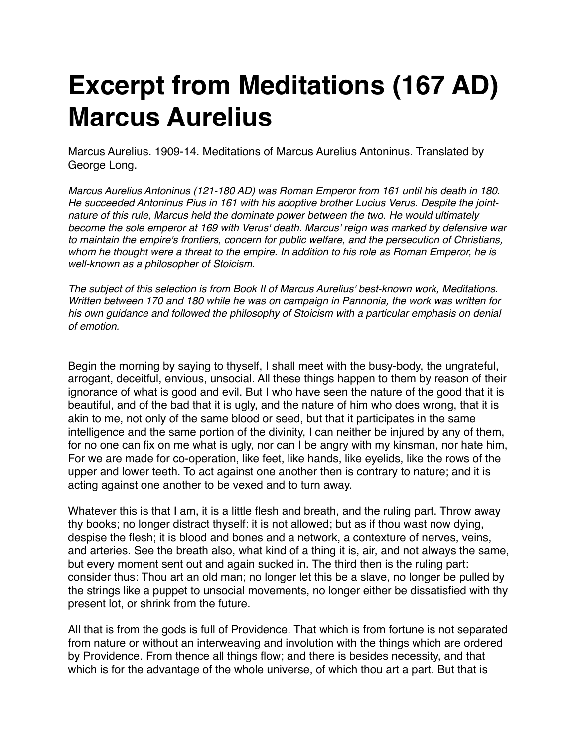## **Excerpt from Meditations (167 AD) Marcus Aurelius**

Marcus Aurelius. 1909-14. Meditations of Marcus Aurelius Antoninus. Translated by George Long.

*Marcus Aurelius Antoninus (121-180 AD) was Roman Emperor from 161 until his death in 180. He succeeded Antoninus Pius in 161 with his adoptive brother Lucius Verus. Despite the jointnature of this rule, Marcus held the dominate power between the two. He would ultimately become the sole emperor at 169 with Verus' death. Marcus' reign was marked by defensive war to maintain the empire's frontiers, concern for public welfare, and the persecution of Christians, whom he thought were a threat to the empire. In addition to his role as Roman Emperor, he is well-known as a philosopher of Stoicism.* 

*The subject of this selection is from Book II of Marcus Aurelius' best-known work, Meditations. Written between 170 and 180 while he was on campaign in Pannonia, the work was written for his own guidance and followed the philosophy of Stoicism with a particular emphasis on denial of emotion.*

Begin the morning by saying to thyself, I shall meet with the busy-body, the ungrateful, arrogant, deceitful, envious, unsocial. All these things happen to them by reason of their ignorance of what is good and evil. But I who have seen the nature of the good that it is beautiful, and of the bad that it is ugly, and the nature of him who does wrong, that it is akin to me, not only of the same blood or seed, but that it participates in the same intelligence and the same portion of the divinity, I can neither be injured by any of them, for no one can fix on me what is ugly, nor can I be angry with my kinsman, nor hate him, For we are made for co-operation, like feet, like hands, like eyelids, like the rows of the upper and lower teeth. To act against one another then is contrary to nature; and it is acting against one another to be vexed and to turn away.

Whatever this is that I am, it is a little flesh and breath, and the ruling part. Throw away thy books; no longer distract thyself: it is not allowed; but as if thou wast now dying, despise the flesh; it is blood and bones and a network, a contexture of nerves, veins, and arteries. See the breath also, what kind of a thing it is, air, and not always the same, but every moment sent out and again sucked in. The third then is the ruling part: consider thus: Thou art an old man; no longer let this be a slave, no longer be pulled by the strings like a puppet to unsocial movements, no longer either be dissatisfied with thy present lot, or shrink from the future.

All that is from the gods is full of Providence. That which is from fortune is not separated from nature or without an interweaving and involution with the things which are ordered by Providence. From thence all things flow; and there is besides necessity, and that which is for the advantage of the whole universe, of which thou art a part. But that is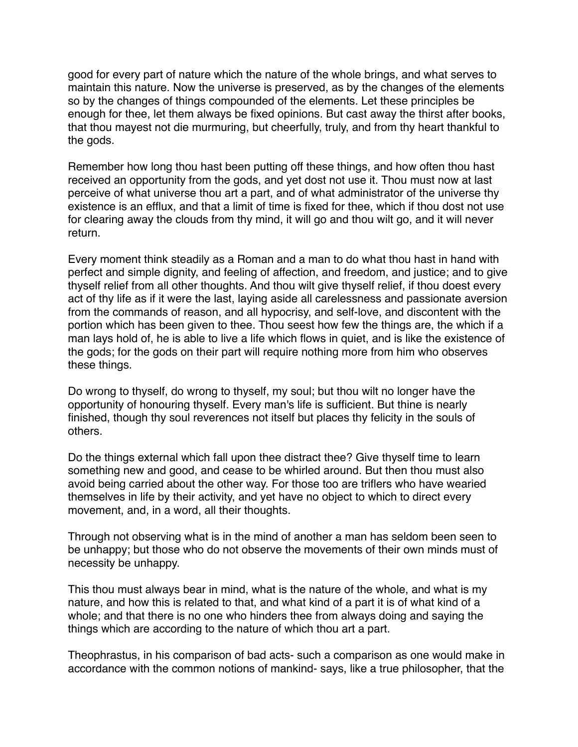good for every part of nature which the nature of the whole brings, and what serves to maintain this nature. Now the universe is preserved, as by the changes of the elements so by the changes of things compounded of the elements. Let these principles be enough for thee, let them always be fixed opinions. But cast away the thirst after books, that thou mayest not die murmuring, but cheerfully, truly, and from thy heart thankful to the gods.

Remember how long thou hast been putting off these things, and how often thou hast received an opportunity from the gods, and yet dost not use it. Thou must now at last perceive of what universe thou art a part, and of what administrator of the universe thy existence is an efflux, and that a limit of time is fixed for thee, which if thou dost not use for clearing away the clouds from thy mind, it will go and thou wilt go, and it will never return.

Every moment think steadily as a Roman and a man to do what thou hast in hand with perfect and simple dignity, and feeling of affection, and freedom, and justice; and to give thyself relief from all other thoughts. And thou wilt give thyself relief, if thou doest every act of thy life as if it were the last, laying aside all carelessness and passionate aversion from the commands of reason, and all hypocrisy, and self-love, and discontent with the portion which has been given to thee. Thou seest how few the things are, the which if a man lays hold of, he is able to live a life which flows in quiet, and is like the existence of the gods; for the gods on their part will require nothing more from him who observes these things.

Do wrong to thyself, do wrong to thyself, my soul; but thou wilt no longer have the opportunity of honouring thyself. Every man's life is sufficient. But thine is nearly finished, though thy soul reverences not itself but places thy felicity in the souls of others.

Do the things external which fall upon thee distract thee? Give thyself time to learn something new and good, and cease to be whirled around. But then thou must also avoid being carried about the other way. For those too are triflers who have wearied themselves in life by their activity, and yet have no object to which to direct every movement, and, in a word, all their thoughts.

Through not observing what is in the mind of another a man has seldom been seen to be unhappy; but those who do not observe the movements of their own minds must of necessity be unhappy.

This thou must always bear in mind, what is the nature of the whole, and what is my nature, and how this is related to that, and what kind of a part it is of what kind of a whole; and that there is no one who hinders thee from always doing and saying the things which are according to the nature of which thou art a part.

Theophrastus, in his comparison of bad acts- such a comparison as one would make in accordance with the common notions of mankind- says, like a true philosopher, that the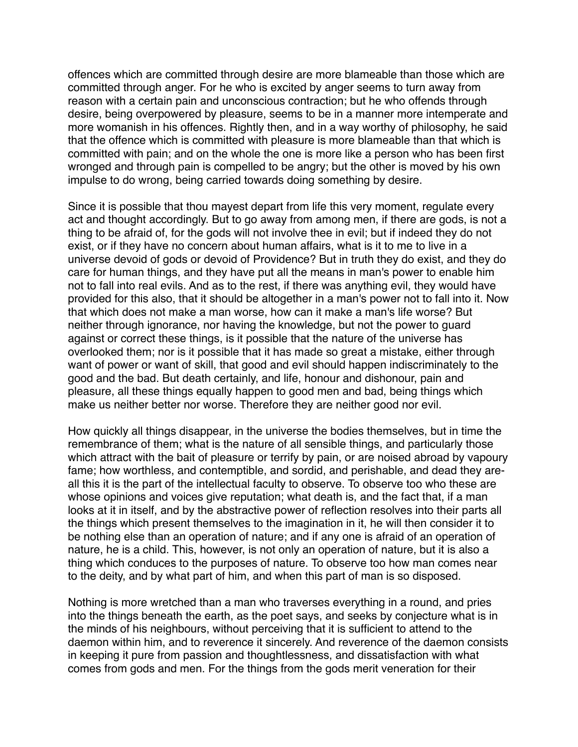offences which are committed through desire are more blameable than those which are committed through anger. For he who is excited by anger seems to turn away from reason with a certain pain and unconscious contraction; but he who offends through desire, being overpowered by pleasure, seems to be in a manner more intemperate and more womanish in his offences. Rightly then, and in a way worthy of philosophy, he said that the offence which is committed with pleasure is more blameable than that which is committed with pain; and on the whole the one is more like a person who has been first wronged and through pain is compelled to be angry; but the other is moved by his own impulse to do wrong, being carried towards doing something by desire.

Since it is possible that thou mayest depart from life this very moment, regulate every act and thought accordingly. But to go away from among men, if there are gods, is not a thing to be afraid of, for the gods will not involve thee in evil; but if indeed they do not exist, or if they have no concern about human affairs, what is it to me to live in a universe devoid of gods or devoid of Providence? But in truth they do exist, and they do care for human things, and they have put all the means in man's power to enable him not to fall into real evils. And as to the rest, if there was anything evil, they would have provided for this also, that it should be altogether in a man's power not to fall into it. Now that which does not make a man worse, how can it make a man's life worse? But neither through ignorance, nor having the knowledge, but not the power to guard against or correct these things, is it possible that the nature of the universe has overlooked them; nor is it possible that it has made so great a mistake, either through want of power or want of skill, that good and evil should happen indiscriminately to the good and the bad. But death certainly, and life, honour and dishonour, pain and pleasure, all these things equally happen to good men and bad, being things which make us neither better nor worse. Therefore they are neither good nor evil.

How quickly all things disappear, in the universe the bodies themselves, but in time the remembrance of them; what is the nature of all sensible things, and particularly those which attract with the bait of pleasure or terrify by pain, or are noised abroad by vapoury fame; how worthless, and contemptible, and sordid, and perishable, and dead they areall this it is the part of the intellectual faculty to observe. To observe too who these are whose opinions and voices give reputation; what death is, and the fact that, if a man looks at it in itself, and by the abstractive power of reflection resolves into their parts all the things which present themselves to the imagination in it, he will then consider it to be nothing else than an operation of nature; and if any one is afraid of an operation of nature, he is a child. This, however, is not only an operation of nature, but it is also a thing which conduces to the purposes of nature. To observe too how man comes near to the deity, and by what part of him, and when this part of man is so disposed.

Nothing is more wretched than a man who traverses everything in a round, and pries into the things beneath the earth, as the poet says, and seeks by conjecture what is in the minds of his neighbours, without perceiving that it is sufficient to attend to the daemon within him, and to reverence it sincerely. And reverence of the daemon consists in keeping it pure from passion and thoughtlessness, and dissatisfaction with what comes from gods and men. For the things from the gods merit veneration for their